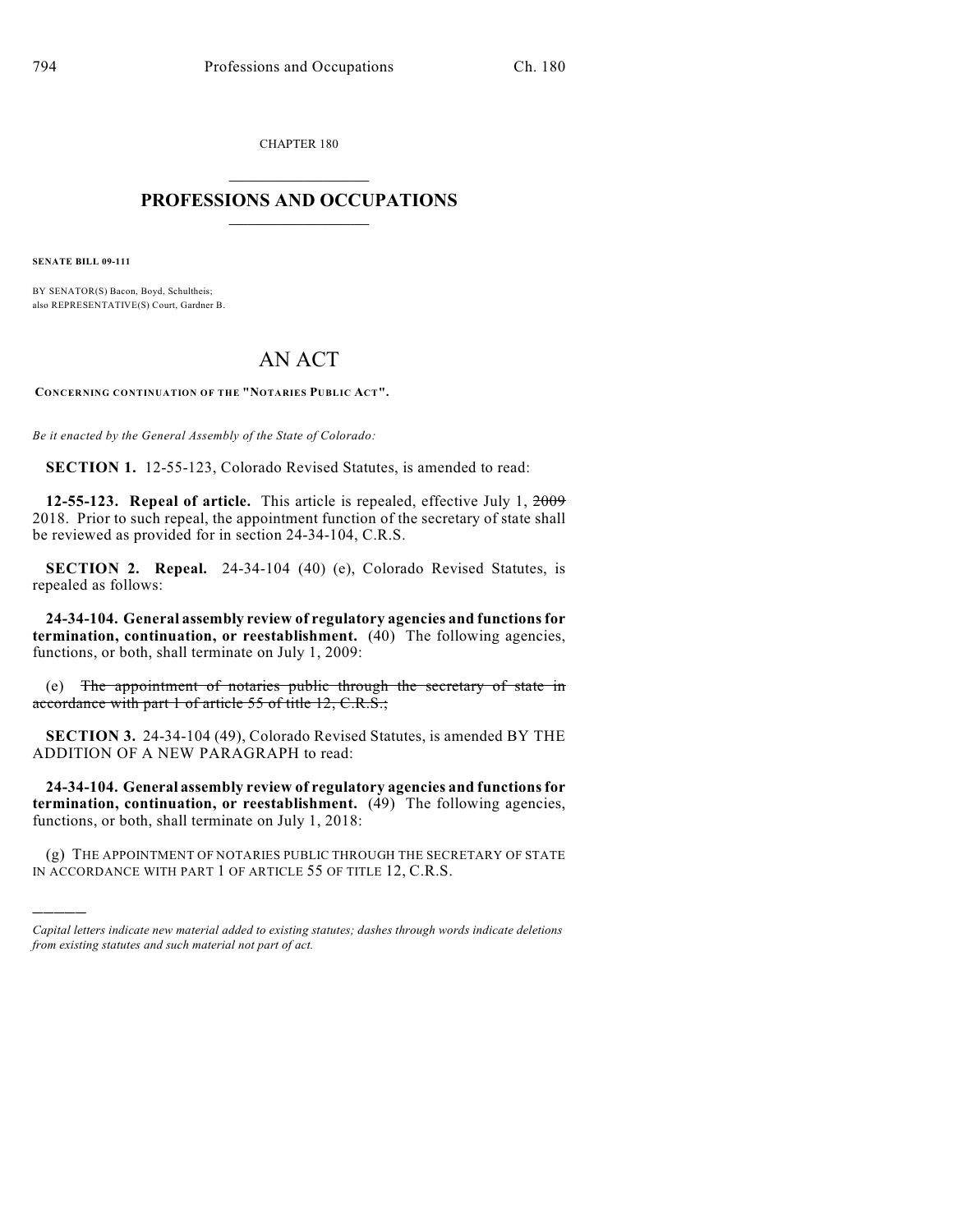CHAPTER 180

## $\overline{\phantom{a}}$  . The set of the set of the set of the set of the set of the set of the set of the set of the set of the set of the set of the set of the set of the set of the set of the set of the set of the set of the set o **PROFESSIONS AND OCCUPATIONS**  $\frac{1}{2}$  ,  $\frac{1}{2}$  ,  $\frac{1}{2}$  ,  $\frac{1}{2}$  ,  $\frac{1}{2}$  ,  $\frac{1}{2}$

**SENATE BILL 09-111**

)))))

BY SENATOR(S) Bacon, Boyd, Schultheis; also REPRESENTATIVE(S) Court, Gardner B.

## AN ACT

**CONCERNING CONTINUATION OF THE "NOTARIES PUBLIC ACT".**

*Be it enacted by the General Assembly of the State of Colorado:*

**SECTION 1.** 12-55-123, Colorado Revised Statutes, is amended to read:

**12-55-123. Repeal of article.** This article is repealed, effective July 1, 2009 2018. Prior to such repeal, the appointment function of the secretary of state shall be reviewed as provided for in section 24-34-104, C.R.S.

**SECTION 2. Repeal.** 24-34-104 (40) (e), Colorado Revised Statutes, is repealed as follows:

**24-34-104. General assembly review of regulatory agencies and functions for termination, continuation, or reestablishment.** (40) The following agencies, functions, or both, shall terminate on July 1, 2009:

(e) The appointment of notaries public through the secretary of state in accordance with part 1 of article 55 of title 12, C.R.S.;

**SECTION 3.** 24-34-104 (49), Colorado Revised Statutes, is amended BY THE ADDITION OF A NEW PARAGRAPH to read:

**24-34-104. General assembly review of regulatory agencies and functions for termination, continuation, or reestablishment.** (49) The following agencies, functions, or both, shall terminate on July 1, 2018:

(g) THE APPOINTMENT OF NOTARIES PUBLIC THROUGH THE SECRETARY OF STATE IN ACCORDANCE WITH PART 1 OF ARTICLE 55 OF TITLE 12, C.R.S.

*Capital letters indicate new material added to existing statutes; dashes through words indicate deletions from existing statutes and such material not part of act.*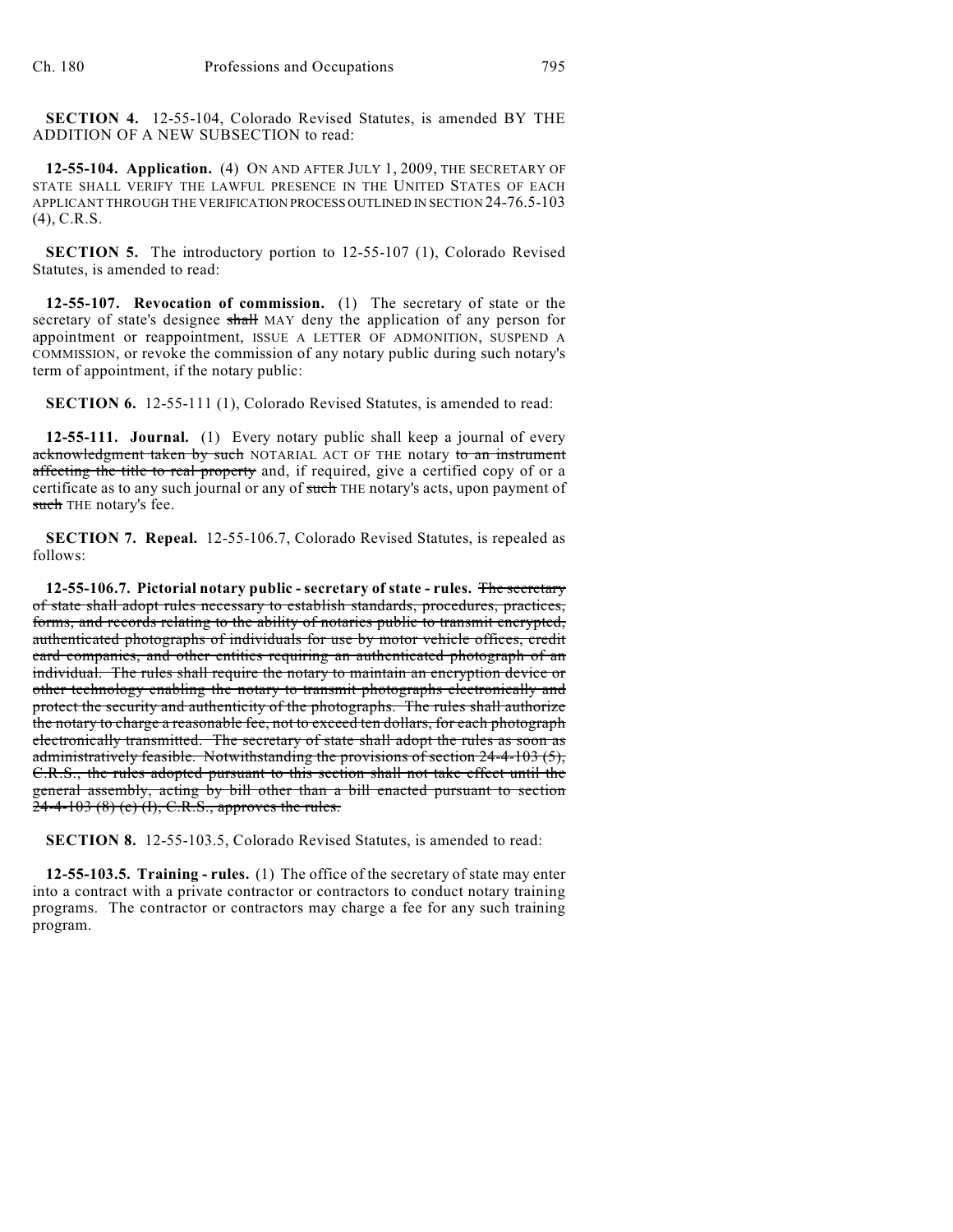**SECTION 4.** 12-55-104, Colorado Revised Statutes, is amended BY THE ADDITION OF A NEW SUBSECTION to read:

**12-55-104. Application.** (4) ON AND AFTER JULY 1, 2009, THE SECRETARY OF STATE SHALL VERIFY THE LAWFUL PRESENCE IN THE UNITED STATES OF EACH APPLICANT THROUGH THE VERIFICATION PROCESS OUTLINED IN SECTION 24-76.5-103 (4), C.R.S.

**SECTION 5.** The introductory portion to 12-55-107 (1), Colorado Revised Statutes, is amended to read:

**12-55-107. Revocation of commission.** (1) The secretary of state or the secretary of state's designee shall MAY deny the application of any person for appointment or reappointment, ISSUE A LETTER OF ADMONITION, SUSPEND A COMMISSION, or revoke the commission of any notary public during such notary's term of appointment, if the notary public:

**SECTION 6.** 12-55-111 (1), Colorado Revised Statutes, is amended to read:

**12-55-111. Journal.** (1) Every notary public shall keep a journal of every acknowledgment taken by such NOTARIAL ACT OF THE notary to an instrument affecting the title to real property and, if required, give a certified copy of or a certificate as to any such journal or any of such THE notary's acts, upon payment of such THE notary's fee.

**SECTION 7. Repeal.** 12-55-106.7, Colorado Revised Statutes, is repealed as follows:

**12-55-106.7. Pictorial notary public - secretary of state - rules.** The secretary of state shall adopt rules necessary to establish standards, procedures, practices, forms, and records relating to the ability of notaries public to transmit encrypted, authenticated photographs of individuals for use by motor vehicle offices, credit card companies, and other entities requiring an authenticated photograph of an individual. The rules shall require the notary to maintain an encryption device or other technology enabling the notary to transmit photographs electronically and protect the security and authenticity of the photographs. The rules shall authorize the notary to charge a reasonable fee, not to exceed ten dollars, for each photograph electronically transmitted. The secretary of state shall adopt the rules as soon as administratively feasible. Notwithstanding the provisions of section 24-4-103 (5), C.R.S., the rules adopted pursuant to this section shall not take effect until the general assembly, acting by bill other than a bill enacted pursuant to section  $24-4-103$  (8) (c) (I), C.R.S., approves the rules.

**SECTION 8.** 12-55-103.5, Colorado Revised Statutes, is amended to read:

**12-55-103.5. Training - rules.** (1) The office of the secretary of state may enter into a contract with a private contractor or contractors to conduct notary training programs. The contractor or contractors may charge a fee for any such training program.